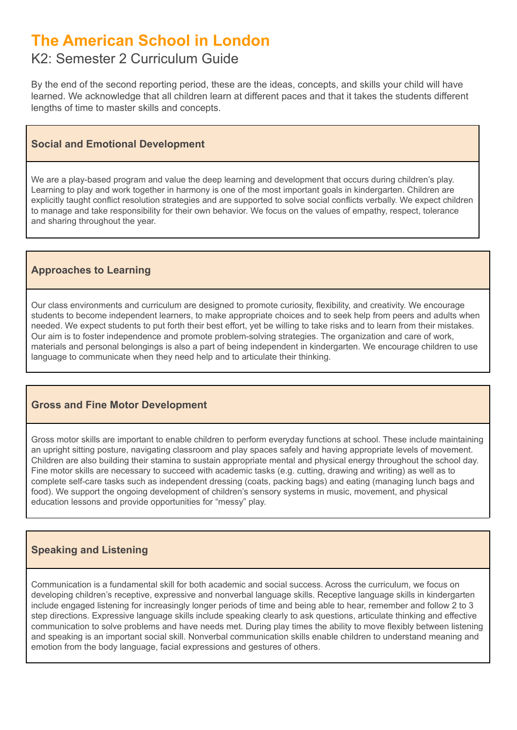# **The American School in London**

# K2: Semester 2 Curriculum Guide

By the end of the second reporting period, these are the ideas, concepts, and skills your child will have learned. We acknowledge that all children learn at different paces and that it takes the students different lengths of time to master skills and concepts.

### **Social and Emotional Development**

We are a play-based program and value the deep learning and development that occurs during children's play. Learning to play and work together in harmony is one of the most important goals in kindergarten. Children are explicitly taught conflict resolution strategies and are supported to solve social conflicts verbally. We expect children to manage and take responsibility for their own behavior. We focus on the values of empathy, respect, tolerance and sharing throughout the year.

# **Approaches to Learning**

Our class environments and curriculum are designed to promote curiosity, flexibility, and creativity. We encourage students to become independent learners, to make appropriate choices and to seek help from peers and adults when needed. We expect students to put forth their best effort, yet be willing to take risks and to learn from their mistakes. Our aim is to foster independence and promote problem-solving strategies. The organization and care of work, materials and personal belongings is also a part of being independent in kindergarten. We encourage children to use language to communicate when they need help and to articulate their thinking.

# **Gross and Fine Motor Development**

Gross motor skills are important to enable children to perform everyday functions at school. These include maintaining an upright sitting posture, navigating classroom and play spaces safely and having appropriate levels of movement. Children are also building their stamina to sustain appropriate mental and physical energy throughout the school day. Fine motor skills are necessary to succeed with academic tasks (e.g. cutting, drawing and writing) as well as to complete self-care tasks such as independent dressing (coats, packing bags) and eating (managing lunch bags and food). We support the ongoing development of children's sensory systems in music, movement, and physical education lessons and provide opportunities for "messy" play.

# **Speaking and Listening**

Communication is a fundamental skill for both academic and social success. Across the curriculum, we focus on developing children's receptive, expressive and nonverbal language skills. Receptive language skills in kindergarten include engaged listening for increasingly longer periods of time and being able to hear, remember and follow 2 to 3 step directions. Expressive language skills include speaking clearly to ask questions, articulate thinking and effective communication to solve problems and have needs met. During play times the ability to move flexibly between listening and speaking is an important social skill. Nonverbal communication skills enable children to understand meaning and emotion from the body language, facial expressions and gestures of others.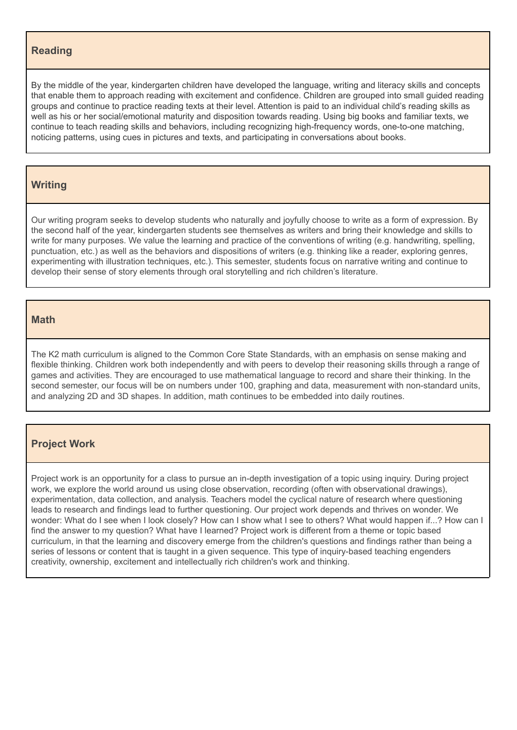#### **Reading**

By the middle of the year, kindergarten children have developed the language, writing and literacy skills and concepts that enable them to approach reading with excitement and confidence. Children are grouped into small guided reading groups and continue to practice reading texts at their level. Attention is paid to an individual child's reading skills as well as his or her social/emotional maturity and disposition towards reading. Using big books and familiar texts, we continue to teach reading skills and behaviors, including recognizing high-frequency words, one-to-one matching, noticing patterns, using cues in pictures and texts, and participating in conversations about books.

#### **Writing**

Our writing program seeks to develop students who naturally and joyfully choose to write as a form of expression. By the second half of the year, kindergarten students see themselves as writers and bring their knowledge and skills to write for many purposes. We value the learning and practice of the conventions of writing (e.g. handwriting, spelling, punctuation, etc.) as well as the behaviors and dispositions of writers (e.g. thinking like a reader, exploring genres, experimenting with illustration techniques, etc.). This semester, students focus on narrative writing and continue to develop their sense of story elements through oral storytelling and rich children's literature.

#### **Math**

The K2 math curriculum is aligned to the Common Core State Standards, with an emphasis on sense making and flexible thinking. Children work both independently and with peers to develop their reasoning skills through a range of games and activities. They are encouraged to use mathematical language to record and share their thinking. In the second semester, our focus will be on numbers under 100, graphing and data, measurement with non-standard units, and analyzing 2D and 3D shapes. In addition, math continues to be embedded into daily routines.

#### **Project Work**

Project work is an opportunity for a class to pursue an in-depth investigation of a topic using inquiry. During project work, we explore the world around us using close observation, recording (often with observational drawings), experimentation, data collection, and analysis. Teachers model the cyclical nature of research where questioning leads to research and findings lead to further questioning. Our project work depends and thrives on wonder. We wonder: What do I see when I look closely? How can I show what I see to others? What would happen if...? How can I find the answer to my question? What have I learned? Project work is different from a theme or topic based curriculum, in that the learning and discovery emerge from the children's questions and findings rather than being a series of lessons or content that is taught in a given sequence. This type of inquiry-based teaching engenders creativity, ownership, excitement and intellectually rich children's work and thinking.